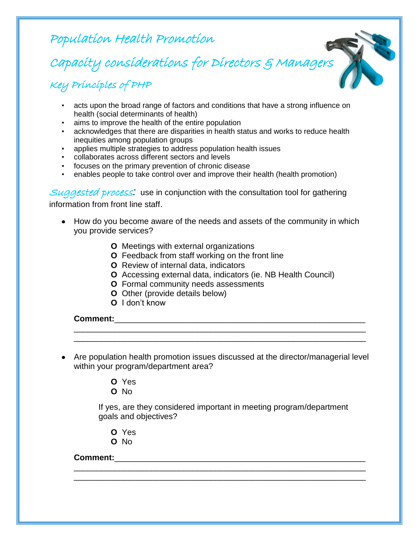Population Health Promotion

Capacity considerations for Directors & Managers

Key Principles of PHP

- acts upon the broad range of factors and conditions that have a strong influence on health (social determinants of health)
- aims to improve the health of the entire population
- acknowledges that there are disparities in health status and works to reduce health inequities among population groups
- applies multiple strategies to address population health issues
- collaborates across different sectors and levels
- focuses on the primary prevention of chronic disease
- enables people to take control over and improve their health (health promotion)

Suggested process*:* use in conjunction with the consultation tool for gathering

information from front line staff.

- How do you become aware of the needs and assets of the community in which you provide services?
	- **O** Meetings with external organizations
	- **O** Feedback from staff working on the front line
	- **O** Review of internal data, indicators
	- **O** Accessing external data, indicators (ie. NB Health Council)
	- **O** Formal community needs assessments
	- **O** Other (provide details below)
	- **O** I don't know

**Comment:**\_\_\_\_\_\_\_\_\_\_\_\_\_\_\_\_\_\_\_\_\_\_\_\_\_\_\_\_\_\_\_\_\_\_\_\_\_\_\_\_\_\_\_\_\_\_\_\_\_\_\_\_\_\_\_

Are population health promotion issues discussed at the director/managerial level within your program/department area?

\_\_\_\_\_\_\_\_\_\_\_\_\_\_\_\_\_\_\_\_\_\_\_\_\_\_\_\_\_\_\_\_\_\_\_\_\_\_\_\_\_\_\_\_\_\_\_\_\_\_\_\_\_\_\_\_\_\_\_\_\_\_\_\_ \_\_\_\_\_\_\_\_\_\_\_\_\_\_\_\_\_\_\_\_\_\_\_\_\_\_\_\_\_\_\_\_\_\_\_\_\_\_\_\_\_\_\_\_\_\_\_\_\_\_\_\_\_\_\_\_\_\_\_\_\_\_\_\_

- **O** Yes
- **O** No

If yes, are they considered important in meeting program/department goals and objectives?

\_\_\_\_\_\_\_\_\_\_\_\_\_\_\_\_\_\_\_\_\_\_\_\_\_\_\_\_\_\_\_\_\_\_\_\_\_\_\_\_\_\_\_\_\_\_\_\_\_\_\_\_\_\_\_\_\_\_\_\_\_\_\_\_ \_\_\_\_\_\_\_\_\_\_\_\_\_\_\_\_\_\_\_\_\_\_\_\_\_\_\_\_\_\_\_\_\_\_\_\_\_\_\_\_\_\_\_\_\_\_\_\_\_\_\_\_\_\_\_\_\_\_\_\_\_\_\_\_

- **O** Yes
- **O** No

## **Comment:**\_\_\_\_\_\_\_\_\_\_\_\_\_\_\_\_\_\_\_\_\_\_\_\_\_\_\_\_\_\_\_\_\_\_\_\_\_\_\_\_\_\_\_\_\_\_\_\_\_\_\_\_\_\_\_